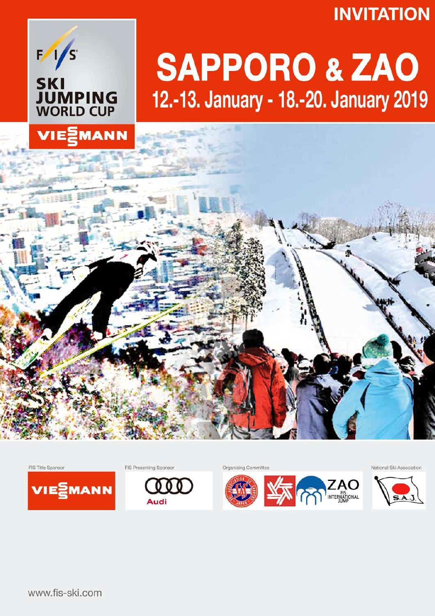## **INVITATION**



VIEZMANN

# **SAPPORO & ZAO** 12.-13. January - 18.-20. January 2019



FIS Presenting Sponsor



Organising Committee



National Ski Association



www.fis-ski.com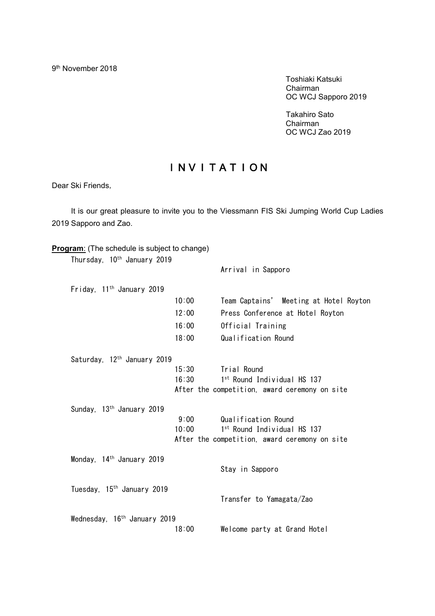9<sup>th</sup> November 2018

 Toshiaki Katsuki Chairman OC WCJ Sapporo 2019

Takahiro Sato Chairman OC WCJ Zao 2019

### INVITATION

Dear Ski Friends,

It is our great pleasure to invite you to the Viessmann FIS Ski Jumping World Cup Ladies 2019 Sapporo and Zao.

| <b>Program:</b> (The schedule is subject to change) |       |                                               |
|-----------------------------------------------------|-------|-----------------------------------------------|
| Thursday, 10 <sup>th</sup> January 2019             |       | Arrival in Sapporo                            |
| Friday, 11 <sup>th</sup> January 2019               |       |                                               |
|                                                     | 10:00 | Team Captains' Meeting at Hotel Royton        |
|                                                     | 12:00 | Press Conference at Hotel Royton              |
|                                                     | 16:00 | Official Training                             |
|                                                     | 18:00 | Qualification Round                           |
| Saturday, 12 <sup>th</sup> January 2019             |       |                                               |
|                                                     | 15:30 | Trial Round                                   |
|                                                     | 16:30 | 1st Round Individual HS 137                   |
|                                                     |       | After the competition, award ceremony on site |
| Sunday, 13 <sup>th</sup> January 2019               |       |                                               |
|                                                     | 9:00  | Qualification Round                           |
|                                                     | 10:00 | 1 <sup>st</sup> Round Individual HS 137       |
|                                                     |       | After the competition, award ceremony on site |
| Monday, $14th$ January 2019                         |       |                                               |
|                                                     |       | Stay in Sapporo                               |
| Tuesday, 15 <sup>th</sup> January 2019              |       |                                               |
|                                                     |       | Transfer to Yamagata/Zao                      |
| Wednesday, 16 <sup>th</sup> January 2019            |       |                                               |
|                                                     | 18:00 | Welcome party at Grand Hotel                  |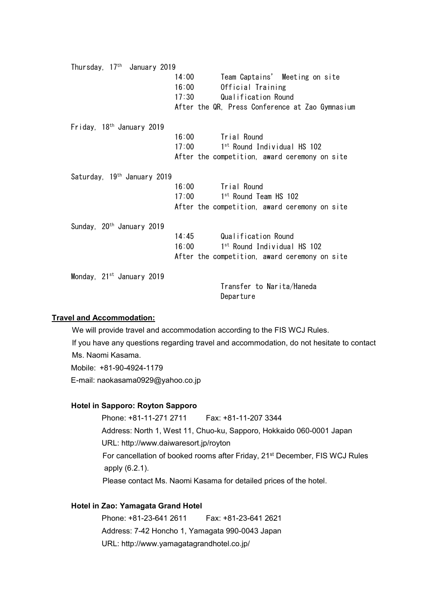| Thursday, 17 <sup>th</sup> January 2019 |       |                                                 |
|-----------------------------------------|-------|-------------------------------------------------|
|                                         | 14:00 | Team Captains' Meeting on site                  |
|                                         | 16:00 | Official Training                               |
|                                         | 17:30 | Qualification Round                             |
|                                         |       | After the QR, Press Conference at Zao Gymnasium |
| Friday, 18 <sup>th</sup> January 2019   |       |                                                 |
|                                         | 16:00 | Trial Round                                     |
|                                         | 17:00 | 1 <sup>st</sup> Round Individual HS 102         |
|                                         |       | After the competition, award ceremony on site   |
| Saturday, 19 <sup>th</sup> January 2019 |       |                                                 |
|                                         | 16:00 | Trial Round                                     |
|                                         | 17:00 | 1 <sup>st</sup> Round Team HS 102               |
|                                         |       | After the competition, award ceremony on site   |
| Sunday, 20 <sup>th</sup> January 2019   |       |                                                 |
|                                         | 14:45 | Qualification Round                             |
|                                         | 16:00 | 1 <sup>st</sup> Round Individual HS 102         |
|                                         |       | After the competition, award ceremony on site   |
| Monday, $21^{st}$ January 2019          |       |                                                 |
|                                         |       | Transfer to Narita/Haneda                       |
|                                         |       | Departure                                       |

#### **Travel and Accommodation:**

We will provide travel and accommodation according to the FIS WCJ Rules. If you have any questions regarding travel and accommodation, do not hesitate to contact Ms. Naomi Kasama. Mobile: +81-90-4924-1179 E-mail: [naokasama0929@yahoo.co.jp](mailto:naokasama0929@yahoo.co.jp)

#### **Hotel in Sapporo: Royton Sapporo**

Phone: +81-11-271 2711 Fax: +81-11-207 3344 Address: North 1, West 11, Chuo-ku, Sapporo, Hokkaido 060-0001 Japan URL: <http://www.daiwaresort.jp/royton> For cancellation of booked rooms after Friday, 21<sup>st</sup> December, FIS WCJ Rules apply (6.2.1). Please contact Ms. Naomi Kasama for detailed prices of the hotel.

#### **Hotel in Zao: Yamagata Grand Hotel**

Phone: +81-23-641 2611 Fax: +81-23-641 2621 Address: 7-42 Honcho 1, Yamagata 990-0043 Japan URL: <http://www.yamagatagrandhotel.co.jp/>